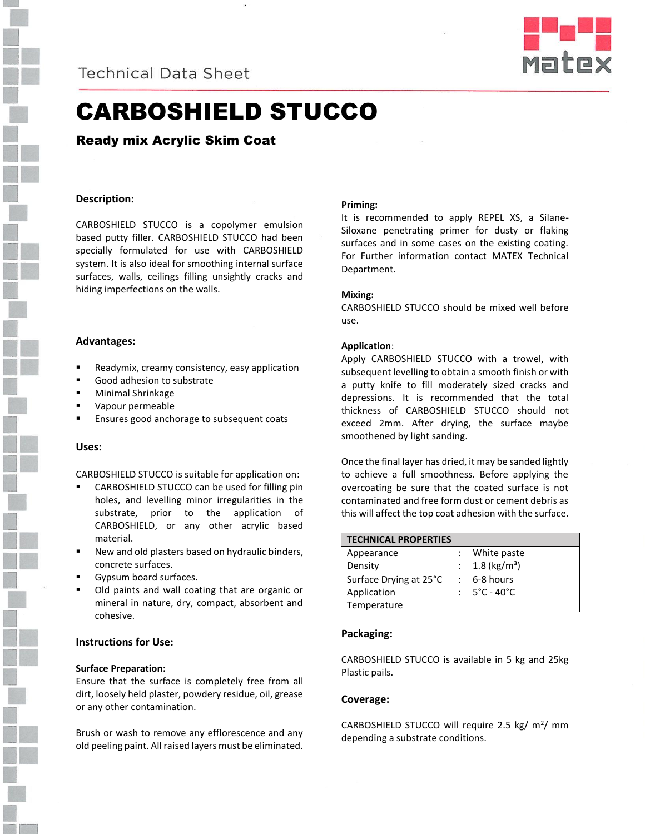



# CARBOSHIELD STUCCO

Ready mix Acrylic Skim Coat

# **Description:**

CARBOSHIELD STUCCO is a copolymer emulsion based putty filler. CARBOSHIELD STUCCO had been specially formulated for use with CARBOSHIELD system. It is also ideal for smoothing internal surface surfaces, walls, ceilings filling unsightly cracks and hiding imperfections on the walls.

#### **Advantages:**

- Readymix, creamy consistency, easy application
- Good adhesion to substrate
- Minimal Shrinkage
- Vapour permeable
- Ensures good anchorage to subsequent coats

#### **Uses:**

CARBOSHIELD STUCCO is suitable for application on:

- CARBOSHIELD STUCCO can be used for filling pin holes, and levelling minor irregularities in the substrate, prior to the application of CARBOSHIELD, or any other acrylic based material.
- New and old plasters based on hydraulic binders, concrete surfaces.
- Gypsum board surfaces.
- Old paints and wall coating that are organic or mineral in nature, dry, compact, absorbent and cohesive.

# **Instructions for Use:**

#### **Surface Preparation:**

Ensure that the surface is completely free from all dirt, loosely held plaster, powdery residue, oil, grease or any other contamination.

Brush or wash to remove any efflorescence and any old peeling paint. All raised layers must be eliminated.

# **Priming:**

It is recommended to apply REPEL XS, a Silane-Siloxane penetrating primer for dusty or flaking surfaces and in some cases on the existing coating. For Further information contact MATEX Technical Department.

#### **Mixing:**

CARBOSHIELD STUCCO should be mixed well before use.

#### **Application**:

Apply CARBOSHIELD STUCCO with a trowel, with subsequent levelling to obtain a smooth finish or with a putty knife to fill moderately sized cracks and depressions. It is recommended that the total thickness of CARBOSHIELD STUCCO should not exceed 2mm. After drying, the surface maybe smoothened by light sanding.

Once the final layer has dried, it may be sanded lightly to achieve a full smoothness. Before applying the overcoating be sure that the coated surface is not contaminated and free form dust or cement debris as this will affect the top coat adhesion with the surface.

| <b>TECHNICAL PROPERTIES</b> |                                   |
|-----------------------------|-----------------------------------|
| Appearance                  | : White paste                     |
| Density                     | : $1.8$ (kg/m <sup>3</sup> )      |
| Surface Drying at 25°C      | $: 6-8 hours$                     |
| Application                 | : $5^{\circ}$ C - 40 $^{\circ}$ C |
| Temperature                 |                                   |

# **Packaging:**

CARBOSHIELD STUCCO is available in 5 kg and 25kg Plastic pails.

# **Coverage:**

CARBOSHIELD STUCCO will require 2.5 kg/  $m^2$ / mm depending a substrate conditions.